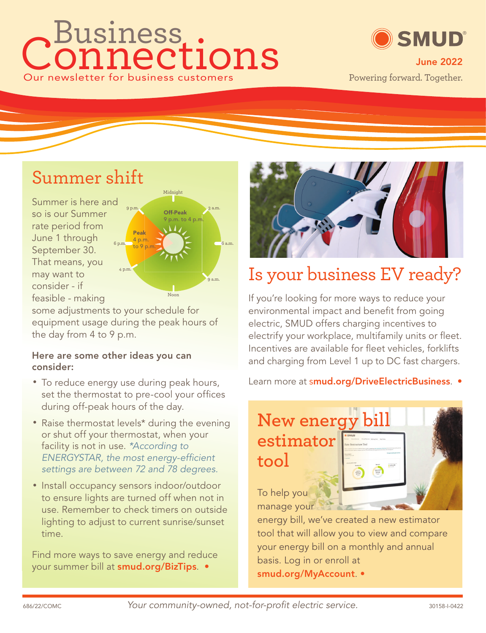# onnections Our newsletter for business customers Business ®



#### Summer shift

Summer is here and so is our Summer rate period from June 1 through September 30. That means, you may want to consider - if feasible - making



some adjustments to your schedule for equipment usage during the peak hours of the day from 4 to 9 p.m.

#### **Here are some other ideas you can consider:**

- To reduce energy use during peak hours, set the thermostat to pre-cool your offices during off-peak hours of the day.
- Raise thermostat levels\* during the evening or shut off your thermostat, when your facility is not in use. \*According to ENERGYSTAR, the most energy-efficient settings are between 72 and 78 degrees.
- Install occupancy sensors indoor/outdoor to ensure lights are turned off when not in use. Remember to check timers on outside lighting to adjust to current sunrise/sunset time.

Find more ways to save energy and reduce your summer bill at **smud.org/BizTips**. •



# Is your business EV ready?

If you're looking for more ways to reduce your environmental impact and benefit from going electric, SMUD offers charging incentives to electrify your workplace, multifamily units or fleet. Incentives are available for fleet vehicles, forklifts and charging from Level 1 up to DC fast chargers.

Learn more at s**mud.org/DriveElectricBusiness**. •

## **New energy bill estimator tool**



To help you manage your

energy bill, we've created a new estimator tool that will allow you to view and compare your energy bill on a monthly and annual basis. Log in or enroll at **smud.org/MyAccount**. •